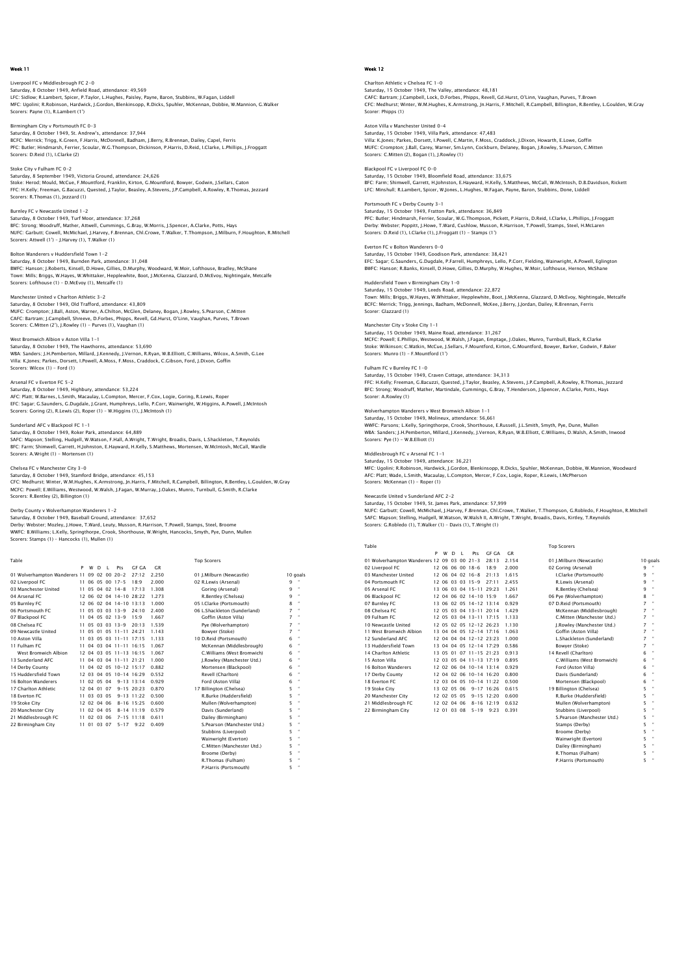## Liverpool FC v Middlesbrough FC 2-0 Saturday, 8 October 1949, Anfield Road, attendance: 49,569<br>LFC: Sidlow; R.Lambert, Spicer, P.Taylor, L.Hughes, Paisley, Payne, Baron, Stubbins, W.Fagan, Liddell<br>MFC: Uqolini: R.Robinson, Hardwick, J.Gordon, Blenkinsopp, R.

Birmingham City v Portsmouth FC 0-3 Saturday, 8 October 1949, St. Andrew's, attendance: 37,944 BCFC: Merrick; Trigg, K.Green, F.Harris, McDonnell, Badham, J.Berry, R.Brennan, Dailey, Capel, Ferris PFC: Butler; Hindmarsh, Ferrier, Scoular, W.G.Thompson, Dickinson, P.Harris, D.Reid, I.Clarke, L.Phillips, J.Froggatt Scorers: D.Reid (1), I.Clarke (2)

## Stoke City v Fulham FC 0-2

Scorers: Payne (1), R.Lambert (1')

Saturday, 8 September 1949, Victoria Ground, attendance: 24,626 Stoke: Herod; Mould, McCue, F.Mountford, Franklin, Kirton, G.Mountford, Bowyer, Godwin, J.Sellars, Caton FFC: H.Kelly; Freeman, G.Bacuzzi, Quested, J.Taylor, Beasley, A.Stevens, J.P.Campbell, A.Rowley, R.Thomas, Jezzard Scorers: R.Thomas (1), Jezzard (1)

## Burnley FC v Newcastle United 1-2

Saturday, 8 October 1949, Turf Moor, attendance: 37,268 BFC: Strong; Woodruff, Mather, Attwell, Cummings, G.Bray, W.Morris, J.Spencer, A.Clarke, Potts, Hays NUFC: Garbutt; Cowell, McMichael, J.Harvey, F.Brennan, Chl.Crowe, T.Walker, T.Thompson, J.Milburn, F.Houghton, R.Mitchell Scorers: Attwell (1') – J.Harvey (1), T.Walker (1)

Bolton Wanderers v Huddersfield Town 1-2 Saturday, 8 October 1949, Burnden Park, attendance: 31,048 BWFC: Hanson; J.Roberts, Kinsell, D.Howe, Gillies, D.Murphy, Woodward, W.Moir, Lofthouse, Bradley, McShane<br>Town: Milis; Briggs, W.Hayes, W.Whittaker, Hepplewhite, Boot, J.McKenna, Glazzard, D.McEvoy, Nightingale, Metcalfe<br>

Manchester United v Charlton Athletic 3-2 Saturday, 8 October 1949, Old Trafford, attendance: 43,809 MUFC: Crompton; J.Ball, Aston, Warner, A.Chilton, McGlen, Delaney, Bogan, J.Rowley, S.Pearson, C.Mitten<br>CAFC: Battram: J.Campbell, Shreeve, D.Forbes, Phipps, Revell, Gd.Hurst, O'Linn, Vaughan, Purves, T.Brown<br>Scorers: C.Mi

West Bromwich Albion v Aston Villa 1-1 Saturday, 8 October 1949, The Hawthorns, attendance: 53,690

WBA: Sanders; J.H.Pemberton, Millard, J.Kennedy, J.Vernon, R.Ryan, W.B.Elliott, C.Williams, Wilcox, A.Smith, G.Lee Villa: K.Jones; Parkes, Dorsett, I.Powell, A.Moss, F.Moss, Craddock, C.Gibson, Ford, J.Dixon, Goffin Scorers: Wilcox (1) - Ford (1)

#### Arsenal FC v Everton FC 5-2

Saturday, 8 October 1949, Highbury, attendance: 53,224 AFC: Platt; W.Barnes, L.Smith, Macaulay, L.Compton, Mercer, F.Cox, Logie, Goring, R.Lewis, Roper<br>EFC: Sagar; G.Saunders, G.Dugdale, J.Grant, Humphreys, Lello, P.Corr, Wainwright, W.Higgins, A.Powell, J.McIntosh<br>Scorers: Go

## Sunderland AFC v Blackpool FC 1-1

Saturday, 8 October 1949, Roker Park, attendance: 64,889<br>SAFC: Mapson; Stelling, Hudgell, W.Watson, F.Hall, A.Wright, T.Wright, Broadis, Davis, L.Shackleton, T.Reynolds<br>BFC: Farm; Shimwell, Garrett, H.Johnston, E.Hawward, Scorers: A.Wright (1) - Mortensen (1)

#### Chelsea FC v Manchester City 3-0

Saturday, 8 October 1949, Stamford Bridge, attendance: 45,153<br>CFC: Medhurst; Winter, W.M.Hughes, K.Armstrong, Jn.Harris, F.Mitchell, R.Campbell, Billington, R.Bentley, L.Goulden, W.Gray<br>MCFC: Powell; E.Williams, Westwood, Scorers: R.Bentley (2), Billington (1)

Derby County v Wolverhampton Wanderers 1–2<br>Saturday, 8 October 1949, Baseball Ground, attendance: 37,652<br>Derby: Webster; Mozley, J.Howe, T.Ward, Leuty, Musson, R.Harrison, T.Powell, Stamps, Steel, Broome WWFC: B.Williams: L.Kelly, Springthorpe, Crook, Shorthouse, W.Wright, Hancocks, Smyth, Pye, Dunn, Mullen Scorers: Stamps (1) – Hancocks (1), Mullen (1)

| Table |  |  |                      | <b>Top Scorers</b> |
|-------|--|--|----------------------|--------------------|
|       |  |  | P W D L Pts GF GA GR |                    |

| 01 Wolverhampton Wanderers 11 09 02 00 20-2 |     |             |  |                         | 27:12              | 2.250 | 01 I.Milburn (Newcastle)     |   | 10 goals       |
|---------------------------------------------|-----|-------------|--|-------------------------|--------------------|-------|------------------------------|---|----------------|
| 02 Liverpool FC                             |     |             |  | 11 06 05 00 17-5        | 18.9               | 2.000 | 02 R.Lewis (Arsenal)         | ۹ |                |
| 03 Manchester United                        |     |             |  | 11 05 04 02 14-8        | 17.13              | 1.308 | Goring (Arsenal)             | 9 | $\mathbf{a}$   |
| 04 Arsenal FC                               |     |             |  | 12 06 02 04 14-10 28:22 |                    | 1.273 | R.Bentley (Chelsea)          | ۹ | $\mathbf{H}$   |
| 05 Burnley FC                               |     |             |  | 12 06 02 04 14-10 13:13 |                    | 1.000 | 05 I.Clarke (Portsmouth)     | 8 | $\mathbf{H}$   |
| 06 Portsmouth EC                            |     |             |  | 11 05 03 03 13-9        | 24:10              | 2.400 | 06 L.Shackleton (Sunderland) | 7 | $\mathbf{H}$   |
| 07 Blackpool FC                             |     |             |  | 11 04 05 02 13-9        | 15:9               | 1.667 | Goffin (Aston Villa)         | 7 | $\bullet$      |
| 08 Chelsea EC                               |     |             |  | 11 05 03 03 13-9        | 20:13              | 1.539 | Pve (Wolverhampton)          | 7 | $\bullet$      |
| 09 Newcastle United                         | 11  |             |  | 05 01 05 11-11 24:21    |                    | 1.143 | Bowyer (Stoke)               | 7 | $\bullet$      |
| 10 Aston Villa                              |     |             |  | 11 03 05 03 11-11 17:15 |                    | 1.133 | 10 D.Reid (Portsmouth)       | 6 | $\mathbf{H}$   |
| 11 Fulham FC                                | 11. |             |  | 04 03 04 11-11 16:15    |                    | 1.067 | McKennan (Middlesbrough)     | 6 | $\mathbf{H}$   |
| West Bromwich Albion                        |     |             |  | 12 04 03 05 11-13 16:15 |                    | 1.067 | C.Williams (West Bromwich)   | 6 | $\overline{a}$ |
| 13 Sunderland AFC                           |     |             |  | 11 04 03 04 11-11 21:21 |                    | 1.000 | I.Rowley (Manchester Utd.)   | 6 | $\mathbf{H}$   |
| 14 Derby County                             |     |             |  | 11 04 02 05 10-12 15:17 |                    | 0.882 | Mortensen (Blackpool)        | 6 | $\mathbf{H}$   |
| 15 Huddersfield Town                        |     |             |  | 12 03 04 05 10-14 16:29 |                    | 0.552 | Revell (Charlton)            | 6 | $\mathbf{H}$   |
| 16 Bolton Wanderers                         |     | 11 02 05 04 |  |                         | $9 - 13$ $13$ $14$ | 0.929 | Ford (Aston Villa)           | 6 | $\mathbf{H}$   |
| 17 Charlton Athletic                        |     | 12 04 01 07 |  |                         | $9 - 15$ 20.23     | 0.870 | 17 Billington (Chelsea)      | 5 | $\mathbf{a}$   |
| 18 Everton EC                               |     | 11 03 03 05 |  |                         | $9 - 13$ $11 - 22$ | 0.500 | R.Burke (Huddersfield)       | 5 | $\mathbf{H}$   |
| 19 Stoke City                               |     | 12 02 04 06 |  |                         | $8 - 16$ 15:25     | 0.600 | Mullen (Wolverhampton)       | 5 | $\mathbf{H}$   |
| 20 Manchester City                          |     | 11 02 04 05 |  |                         | $8 - 14$ 11 19     | 0.579 | Davis (Sunderland)           | 5 | $\mathbf{H}$   |
| 21 Middlesbrough FC                         |     | 11 02 03 06 |  |                         | $7 - 15$ 11:18     | 0.611 | Dailey (Birmingham)          | 5 | $\mathbf{H}$   |
| 22 Birmingham City                          |     | 11 01 03 07 |  | $5 - 17$                | 9:22               | 0.409 | S. Pearson (Manchester Utd.) | 5 | $\mathbf{H}$   |
|                                             |     |             |  |                         |                    |       | Stubbins (Liverpool)         | 5 | $\mathbf{H}$   |
|                                             |     |             |  |                         |                    |       | Wainwright (Everton)         | 5 | $\mathbf{H}$   |
|                                             |     |             |  |                         |                    |       | C.Mitten (Manchester Utd.)   | 5 |                |

Broome (Derby) R.Thomas (Fulham) n. momas (manan<br>P.Harris (Portsmo

## Week 12

Charlton Athletic v Chelsea FC 1-0 Saturday, 15 October 1949, The Valley, attendance: 48,181<br>CAFC: Bartram; J.Campbell, Lock, D.Forbes, Phipps, Revell, Gd.Hurst, O'Linn, Vaughan, Purves, T.Brown<br>CFC: Medhurst; Winter, W.M.Hughes, K.Armstrong, In.Harris, F.M Scorer: Phipps (1)

Aston Villa v Manchester United 0-4 Saturday, 15 October 1949, Villa Park, attendance: 47,483 Villa: K.Jones; Parkes, Dorsett, I.Powell, C.Martin, F.Moss, Craddock, J.Dixon, Howarth, E.Lowe, Goffin MUFC: Crompton; J.Ball, Carey, Warner, Sm.Lynn, Cockburn, Delaney, Bogan, J.Rowley, S.Pearson, C.Mitten Scorers: C.Mitten (2), Bogan (1), J.Rowley (1)

Blackpool FC v Liverpool FC 0-0 Saturday, 15 October 1949, Bloomfield Road, attendance: 33,675 BFC: Farm; Shimwell, Garrett, H.Johnston, E.Hayward, H.Kelly, S.Matthews, McCall, W.McIntosh, D.B.Davidson, Rickett LFC: Minshull; R.Lambert, Spicer, W.Jones, L.Hughes, W.Fagan, Payne, Baron, Stubbins, Done, Liddell

### Portsmouth FC v Derby County 3-1 smoath i C v Derby County 3–1<br>Irday, 15 October 1949, Fratton Park, attendance: 36,849 PFC: Butler; Hindmarsh, Ferrier, Scoular, W.G.Thompson, Pickett, P.Harris, D.Reid, I.Clarke, L.Phillips, J.Froggatt Derby: Webster; Poppitt, J.Howe, T.Ward, Cushlow, Musson, R.Harrison, T.Powell, Stamps, Steel, H.McLaren Scorers: D.Reid (1), L.Clarke (1), L.Froggatt (1) - Stamps (1')

Everton FC v Bolton Wanderers 0-0 Saturday, 15 October 1949, Goodison Park, attendance: 38,421 EFC: Sagar; G.Saunders, G.Dugdale, P.Farrell, Humphreys, Lello, P.Corr, Fielding, Wainwright, A.Powell, Eglington BWFC: Hanson; R.Banks, Kinsell, D.Howe, Gillies, D.Murphy, W.Hughes, W.Moir, Lofthouse, Hernon, McShane

Huddersfield Town v Birmingham City 1-0 Saturday, 15 October 1949, Leeds Road, attendance: 22,872 Town: Mills; Briggs, W.Hayes, W.Whittaker, Hepplewhite, Boot, J.McKenna, Glazzard, D.McEvoy, Nightingale, Metcalfe BCFC: Merrick; Trigg, Jennings, Badham, McDonnell, McKee, J.Berry, J.Jordan, Dailey, R.Brennan, Ferris Scorer: Glazzard (1)

## Manchester City v Stoke City 1-1

Saturday, 15 October 1949, Maine Road, attendance: 31,267 MCFC: Powell; E.Phillips, Westwood, W.Walsh, J.Fagan, Emptage, J.Oakes, Munro, Turnbull, Black, R.Clarke Stoke: Wilkinson; C.Watkin, McCue, J.Sellars, F.Mountford, Kirton, G.Mountford, Bowyer, Barker, Godwin, F.Baker Scorers: Munro (1) – F.Mountford (1')

### Fulham FC v Burnley FC 1-0

Saturday, 15 October 1949, Craven Cottage, attendance: 34,313 FFC: H.Kelly; Freeman, G.Bacuzzi, Quested, J.Taylor, Beasley, A.Stevens, J.P.Campbell, A.Rowley, R.Thomas, Jezzard BFC: Strong; Woodruff, Mather, Martindale, Cummings, G.Bray, T.Henderson, J.Spencer, A.Clarke, Potts, Hays Scorer: A.Rowley (1)

### Wolverhampton Wanderers v West Bromwich Albion 1-1

Saturday, 15 October 1949, Molineux, attendance: 56,661 WWFC: Parsons; L.Kelly, Springthorpe, Crook, Shorthouse, E.Russell, J.L.Smith, Smyth, Pye, Dunn, Mullen WBA: Sanders; J.H.Pemberton, Millard, J.Kennedy, J.Vernon, R.Ryan, W.B.Elliott, C.Williams, D.Walsh, A.Smith, Inwood Scorers: Pye (1) - W.B.Elliott (1)

#### Middlesbrough FC v Arsenal FC 1-1 Saturday, 15 October 1949, attendance: 36,221

MFC: Ugolini; R.Robinson, Hardwick, J.Gordon, Blenkinsopp, R.Dicks, Spuhler, McKennan, Dobbie, W.Mannion, Woodward<br>AFC: Platt; Wade, L.Smith, Macaulay, L.Compton, Mercer, F.Cox, Logie, Roper, R.Lewis, I.McPherson<br>Scorers:

#### Newcastle United v Sunderland AFC 2-2

Saturday, 15 October 1949, St. James Park, attendance: 57,999<br>NUFC: Garbutt, Cowell, McMichael, J.Harvey, F.Brennan, Chl.Crowe, T.Walker, T.Thompson, G.Robledo, F.Houghton, R.Mitchel<br>SAFC: Mapson; Stelling, Hudgell, W.Wats Scorers: G.Robledo (1), T.Walker (1) – Davis (1), T.Wright (1)

| Table                                       |   |             |              |    |                             |                |           | Top Scorers                |   |              |
|---------------------------------------------|---|-------------|--------------|----|-----------------------------|----------------|-----------|----------------------------|---|--------------|
|                                             | P | W           | <sup>D</sup> | L. | Pts                         | GE GA          | <b>GR</b> |                            |   |              |
| 01 Wolverhampton Wanderers 12 09 03 00 21-3 |   |             |              |    |                             | 28:13          | 2.154     | 01 I.Milburn (Newcastle)   |   | 10 goals     |
| 02 Liverpool FC                             |   |             |              |    | 12 06 06 00 18-6            | 18.9           | 2.000     | 02 Goring (Arsenal)        | q |              |
| 03 Manchester United                        |   |             |              |    | 12 06 04 02 16-8            | 21:13          | 1.615     | I.Clarke (Portsmouth)      | 9 |              |
| 04 Portsmouth FC                            |   |             |              |    | 12 06 03 03 15-9            | 27:11          | 2.455     | R.Lewis (Arsenal)          | 9 | ٠            |
| 05 Arsenal FC                               |   |             |              |    | 13 06 03 04 15-11 29:23     |                | 1.261     | R.Bentley (Chelsea)        | 9 | $\mathbf{u}$ |
| 06 Blackpool FC                             |   | 12 04       |              |    | 06 02 14-10 15:9            |                | 1.667     | 06 Pve (Wolverhampton)     | 8 | $\mathbf{u}$ |
| 07 Burnley FC                               |   |             |              |    | 13 06 02 05 14-12 13:14     |                | 0.929     | 07 D.Reid (Portsmouth)     | 7 | ×            |
| 08 Chelsea EC                               |   |             |              |    | 12 05 03 04 13-11 20:14     |                | 1.429     | McKennan (Middlesbrough)   | 7 | ×            |
| 09 Fulham FC                                |   |             |              |    | 12 05 03 04 13-11 17:15     |                | 1.133     | C.Mitten (Manchester Utd.) | 7 | ×            |
| 10 Newcastle United                         |   |             |              |    | 12 05 02 05 12-12 26:23     |                | 1.130     | J.Rowley (Manchester Utd.) | 7 |              |
| 11 West Bromwich Albion                     |   |             |              |    | 13 04 04 05 12-14 17:16     |                | 1.063     | Goffin (Aston Villa)       | 7 | ×            |
| 12 Sunderland AFC                           |   | 12.04       |              |    | $04$ $04$ $12 - 12$ $23.23$ |                | 1.000     | L.Shackleton (Sunderland)  | 7 | ×            |
| 13 Huddersfield Town                        |   |             |              |    | 13 04 04 05 12-14 17:29     |                | 0.586     | Bowver (Stoke)             | 7 | ×            |
| 14 Charlton Athletic                        |   |             |              |    | 13 05 01 07 11-15 21:23     |                | 0.913     | 14 Revell (Charlton)       | 6 | $\mathbf{u}$ |
| 15 Aston Villa                              |   |             |              |    | 12 03 05 04 11-13 17:19     |                | 0.895     | C.Williams (West Bromwich) | 6 |              |
| 16 Bolton Wanderers                         |   |             |              |    | 12 02 06 04 10-14 13:14     |                | 0.929     | Ford (Aston Villa)         | 6 | ٠            |
| 17 Derby County                             |   |             |              |    | 12 04 02 06 10-14 16:20     |                | 0.800     | Davis (Sunderland)         | 6 |              |
| 18 Everton EC                               |   |             |              |    | 12 03 04 05 10-14 11:22     |                | 0.500     | Mortensen (Blackpool)      | 6 | $\mathbf{u}$ |
| 19 Stoke City                               |   | 13 02 05 06 |              |    |                             | $9 - 17$ 16.26 | 0.615     | 19 Billington (Chelsea)    | 5 | ×            |
| 20 Manchester City                          |   | 12 02 05 05 |              |    |                             | $9 - 15$ 12:20 | 0.600     | R.Burke (Huddersfield)     | 5 |              |
| 21 Middlesbrough FC                         |   | 12 02 04 06 |              |    |                             | $8 - 16$ 12:19 | 0.632     | Mullen (Wolverhampton)     | 5 | ×            |
| 22 Birmingham City                          |   | 12 01 03 08 |              |    | $5 - 19$                    | 9:23           | 0.391     | Stubbins (Liverpool)       | 5 | ٠            |
|                                             |   |             |              |    |                             |                |           |                            |   |              |

 S.Pearson (Manchester Utd.) 5 " Stamps (Derby) 5 " Broome (Derby) 5 " Wainwright (Everton) 5 " Dailey (Birmingham) 5 " R.Thomas (Fulham) P.Harris (Po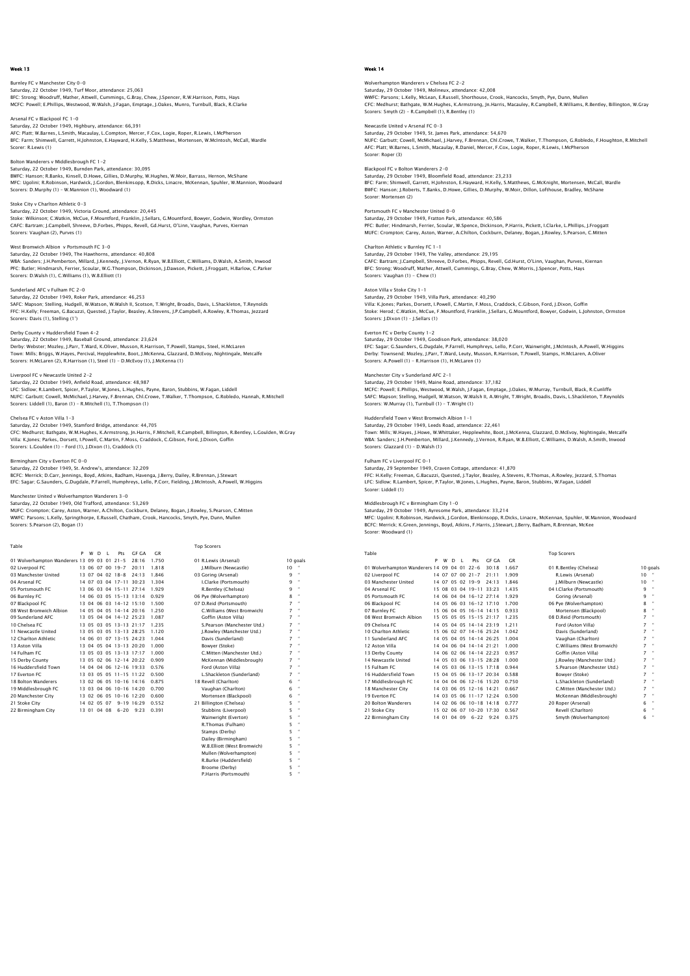Burnley FC v Manchester City 0-0 Saturday, 22 October 1949, Turf Moor, attendance: 25,063<br>BFC: Strong: Woodruff, Mather, Attwell, Cummings, G.Bray, Chew, J.Spencer, R.W.Harrison, Potts, Hays<br>MCFC: Powell: E.Phillips, Westwood, W.Walsh, J.Faqan, Emptaqe, J

Arsenal FC v Blackpool FC 1-0 Saturday, 22 October 1949, Highbury, attendance: 66,391<br>AFC: Platt, W.Barnes, L.Smith, Macaulay, L.Compton, Mercer, F.Cox, Logie, Roper, R.Lewis, I.McPherson<br>BFC: Farm: Shimwell, Garrett, H.Johnston, E.Hayward, H.Kelly, S. Scorer: R.Lewis (1)

## Bolton Wanderers v Middlesbrough FC 1-2

Saturday, 22 October 1949, Burnden Park, attendance: 30,095 BWFC: Hanson; R.Banks, Kinsell, D.Howe, Gillies, D.Murphy, W.Hughes, W.Moir, Barrass, Hernon, McShane MFC: Ugolini; R.Robinson, Hardwick, J.Gordon, Blenkinsopp, R.Dicks, Linacre, McKennan, Spuhler, W.Mannion, Woodward Scorers: D.Murphy (1) – W.Mannion (1), Woodward (1)

Stoke City v Charlton Athletic 0-3

Saturday, 22 October 1949, Victoria Ground, attendance: 20,445 Stoke: Wilkinson; C.Watkin, McCue, F.Mountford, Franklin, J.Sellars, G.Mountford, Bowyer, Godwin, Wordley, Ormston<br>CAFC: Bartram; J.Campbell, Shreeve, D.Forbes, Phipps, Revell, Gd.Hurst, O'Linn, Vaughan, Purves, Kiernan Scorers: Vaughan (2), Purves (1)

West Bromwich Albion v Portsmouth FC 3-0 Saturday, 22 October 1949, The Hawthorns, attendance: 40,808 WBA: Sanders; J.H.Pemberton, Millard, J.Kennedy, J.Vernon, R.Ryan, W.B.Elliott, C.Williams, D.Walsh, A.Smith, Inwood PFC: Butler; Hindmarsh, Ferrier, Scoular, W.G.Thompson, Dickinson, J.Dawson, Pickett, J.Froggatt, H.Barlow, C.Parker Scorers: D.Walsh (1), C.Williams (1), W.B.Elliott (1)

## Sunderland AFC v Fulham FC 2-0

Saturday, 22 October 1949, Roker Park, attendance: 46,253 SAFC: Mapson; Stelling, Hudgell, W.Watson, W.Walsh II, Scotson, T.Wright, Broadis, Davis, L.Shackleton, T.Reynolds<br>FFC: H.Kelly; Freeman, G.Bacuzzi, Quested, J.Taylor, Beasley, A.Stevens, J.P.Campbell, A.Rowley, R.Thomas, Scorers: Davis (1), Stelling (1')

## Derby County v Huddersfield Town 4-2

Saturday, 22 October 1949, Baseball Ground, attendance: 23,624 Derby: Webster; Mozley, J.Parr, T.Ward, K.Oliver, Musson, R.Harrison, T.Powell, Stamps, Steel, H.McLaren<br>Town: Milis; Briggs, W.Hayes, Percival, Hepplewhite, Boot, J.McKenna, Glazzard, D.McEvoy, Nightingale, Metcalfe<br>Score

#### Liverpool FC v Newcastle United 2-2

Saturday, 22 October 1949, Anfield Road, attendance: 48,987 LFC: Sidlow; R.Lambert, Spicer, P.Taylor, W.Jones, L.Hughes, Payne, Baron, Stubbins, W.Fagan, Liddell NUFC: Garbutt; Cowell, McMichael, J.Harvey, F.Brennan, Chl.Crowe, T.Walker, T.Thompson, G.Robledo, Hannah, R.Mitchell Scorers: Liddell (1), Baron (1) – R.Mitchell (1), T.Thompson (1)

### Chelsea FC v Aston Villa 1-3

Saturday, 22 October 1949, Stamford Bridge, attendance: 44,705 CFC: Medhurst; Bathgate, W.M.Hughes, K.Armstrong, Jn.Harris, F.Mitchell, R.Campbell, Billington, R.Bentley, L.Goulden, W.Gray<br>Villa: K.Jones; Parkes, Dorsett, I.Powell, C.Martin, F.Moss, Craddock, C.Gibson, Ford, J.Dixon,

Birmingham City v Everton FC 0-0

Saturday, 22 October 1949, St. Andrew's, attendance: 32,209<br>BCFC: Merrick; D.Carr, Jennings, Boyd, Atkins, Badham, Havenga, J.Berry, Dailey, R.Brennan, J.Stewart<br>EFC: Saqar; G.Saunders, G.Duqdale, P.Farrell, Humphreys, Lel

#### Manchester United v Wolverhampton Wanderers 3-0

Saturday, 22 October 1949, Old Trafford, attendance: 53,269<br>MUFC: Crompton; Carey, Aston, Warner, A.Chilton, Cockburn, Delaney, Bogan, J.Rowley, S.Pearson, C.Mitten<br>WWFC: Parsons; L.Kelly, Springthorpe, E.Russell, Chatham,

 Table Top Scorers P W D L Pts GF GA GR 01 Wolverhampton Wanderers 13 09 03 01 21-5 28:16 1.750 01 R.Lewis (Arsenal) 10 goals 02 Liverpool FC 13 06 07 00 19-7 20:11 1.818 J.Milburn (Newcastle) 10 " 03 Manchester United 13 07 04 02 18-8 13 1.846 03 06 07 08 19 1<br>
04 Arsenal FC 14 07 03 04 17-11 30:23 1.304 1.Clarke (Portsmouth) 9 1<br>
05 Portsmouth FC 13 06 03 04 15-11 27:14 1.929 16.Bentley (Chelsea) 9 1<br>
06 Burrley FC 08 West Bromwich Albion 14 05 04 05 14-14 20:16 1.250 C.Williams (West Bromwich) 7 " 09 Sunderland AFC 13 05 04 04 14-12 25:23 1.087 Goffin (Aston Villa) 7 " 10 Chelsea FC 13 05 03 05 13-13 21:17 1.235 S.Pearson (Manchester Utd.) 7 " 11 Newcastle United 13 05 03 05 13-13 28:25 1.120 J.Rowley (Manchester Utd.) 7 " 12 Charlton Athletic 14 06 01 07 13-15 24:23 1.044 Davis (Sunderland) 7 " 13 Aston Villa (13 04 05 04 13-13 20:20 1.000 1.000 Eower (Stoke) 2.1<br>14 Fulham FC 13 05 03 05 13-13 17:17 1.000 C. Mitten (Manchester Urd.) 7<br>15 Derby County 13 05 02 06 12-14 20:22 0.909 McKennan (Middlesbrough) 7<br>16 Hu 18 Bolton Wanderers 13 02 06 05 10-16 14:16 0.875 18 Revell (Charlton)<br>
19 Middlesbrough FC 13 03 04 06 10-16 14:20 0.700 Vaughan (Charlton)<br>
20 Nanchester City 13 02 06 05 10-16 12:20 0.650 10-16 21 Billington (Chelsea)<br> 19 Middlesbrough FC 13 03 04 06 10-16 14:20 0.700 Vaughan (Charlton) 6 " 20 Manchester City 13 02 06 05 10-16 12:20 0.600 Mortensen (Blackpool) 6 " 21 Stoke City 14 02 05 07 9-19 16:29 0.552 21 Billington (Chelsea) 5 " 22 Birmingham City 13 01 04 08 6-20 9:23 0.391 Stubbins (Liverpool) 5 "



Broome (Derby) 5 " P.Harris (Portsmouth) 5 "

## Week 14

oton Wanderers v Chelsea FC 2-2 Saturday, 29 October 1949, Molineux, attendance: 42,008<br>WWFC: Passons; L.Kelly, McLean, E.Russell, Shorthouse, Crook, Hancocks, Smyth, Pye, Dunn, Mullen<br>CFC: Medhurst; Bathaate, W.M.Hughes, K.Armstronq, Jn.Harris, Macauley Scorers: Smyth (2) - R.Campbell (1), R.Bentley (1)

Newcastle United v Arsenal FC 0–3<br>Saturday, 29 October 1949, St. James Park, attendance: 54,670<br>NUFC: Garbutt, Cowell, McMichael, J.Harvey, F.Brennan, Chl.Crowe, T.Walker, T.Thompson, G.Robledo, F.Houghton, R.Mitchel<br>NUFC: Scorer: Roper (3)

Blackpool FC v Bolton Wanderers 2–0<br>Saturday, 29 October 1949, Bloomfield Road, attendance: 23,233<br>BFC: Farm; Shimwell, Garrett, H.Johnston, E.Hayward, H.Kelly, S.Matthews, G.McKnight, Mortensen, McCall, Wardle<br>BWFC: Hanso Scorer: Mortensen (2)

Portsmouth FC v Manchester United 0-0 Saturday, 29 October 1949, Fratton Park, attendance: 40,586 PFC: Butler; Hindmarsh, Ferrier, Scoular, W.Spence, Dickinson, P.Harris, Pickett, I.Clarke, L.Phillips, J.Froggatt MUFC: Crompton; Carey, Aston, Warner, A.Chilton, Cockburn, Delaney, Bogan, J.Rowley, S.Pearson, C.Mitten

Charlton Athletic v Burnley FC 1-1 Saturday, 29 October 1949, The Valley, attendance: 29,195<br>CAFC: Batriam: J.C.ampbell, Shreeve, D.Forbes, Phipps, Revell, Gd.Hurst, O'Linn, Vaughan, Purves, Kiernan<br>BFC: Strong: Woodruff, Mather, Attwell, Cummings, G.Bray, Scorers: Vaughan (1) - Chew (1)

## Aston Villa v Stoke City 1-

Saturday, 29 October 1949, Villa Park, attendance: 40,290 Villa: K.Jones; Parkes, Dorsett, I.Powell, C.Martin, F.Moss, Craddock, C.Gibson, Ford, J.Dixon, Goffin Stoke: Herod; C.Watkin, McCue, F.Mountford, Franklin, J.Sellars, G.Mountford, Bowyer, Godwin, L.Johnston, Ormston Scorers: J.Dixon (1) – J.Sellars (1)

## Everton FC v Derby County 1-2

Saturday, 29 October 1949, Goodison Park, attendance: 38,020 EFC: Sagar; G.Saunders, G.Dugdale, P.Farrell, Humphreys, Lello, P.Corr, Wainwright, J.McIntosh, A.Powell, W.Higgins<br>Derby: Townsend; Mozley, J.Parr, T.Ward, Leuty, Musson, R.Harrison, T.Powell, Stamps, H.McLaren, A.Oliver<br>

#### Manchester City v Sunderland AFC 2-1

Saturday, 29 October 1949, Maine Road, attendance: 37,182 MCFC: Powell; E.Phillips, Westwood, W.Walsh, J.Fagan, Emptage, J.Oakes, W.Murray, Turnbull, Black, R.Cunliffe<br>SAFC: Mapson; Stelling, Hudgell, W.Watson, W.Walsh II, A.Wright, T.Wright, Broadis, Davis, L.Shackleton, T.Reyno

### Huddersfield Town v West Bromwich Albion 1-1

Saturday, 29 October 1949, Leeds Road, attendance: 22,461 Town: Mills; W.Hayes, J.Howe, W.Whittaker, Hepplewhite, Boot, J.McKenna, Glazzard, D.McEvoy, Nightingale, Metcalfe<br>WBA: Sanders; J.H.Pemberton, Millard, J.Kennedy, J.Vernon, R.Ryan, W.B.Elliott, C.Williams, D.Walsh, A.Smit

### Fulham FC v Liverpool FC 0-1

Saturday, 29 September 1949, Craven Cottage, attendance: 41,870<br>FFC: H.Kelly; Freeman, G.Bacuzzi, Quested, J.Taylor, Beasley, A.Stevens, R.Thomas, A.Rowley, Jezzard, S.Thomas<br>LFC: Sidlow; R.Lambert, Spicer, P.Taylor, W.Jon Scorer: Liddell (1)

Middlesbrough FC v Birmingham City 1–0<br>Saturday, 29 October 1949, Ayresome Park, attendance: 33,214<br>MFC: Ugolni; R.Robinson, Hardwick, J.Gordon, Blenkinsopp, R.Dicks, Linacre, McKennan, Spuhler, W.Mannion, Woodward<br>BCFC: M Scorer: Woodward (1)

| Table                               |   |   |          |                |                         |       |           | <b>Top Scorers</b>               |              |
|-------------------------------------|---|---|----------|----------------|-------------------------|-------|-----------|----------------------------------|--------------|
|                                     | P | W | D.       | $\blacksquare$ | Pts                     | GE GA | <b>GR</b> |                                  |              |
| 01 Wolverhampton Wanderers 14 09 04 |   |   |          |                | $0122 - 6$              | 30:18 | 1.667     | 01 R.Bentley (Chelsea)           | 10 goals     |
| 02 Liverpool FC                     |   |   | 14 07 07 |                | $0021 - 7$              | 21:11 | 1.909     | 10<br>R.Lewis (Arsenal)          |              |
| 03 Manchester United                |   |   | 14 07 05 |                | $02$ 19-9               | 24:13 | 1.846     | 10<br>J.Milburn (Newcastle)      | ×            |
| 04 Arsenal FC                       |   |   |          |                | 15 08 03 04 19-11 33:23 |       | 1.435     | 9<br>04 I.Clarke (Portsmouth)    | ٠            |
| 05 Portsmouth EC                    |   |   |          |                | 14 06 04 04 16-12 27:14 |       | 1.929     | 9<br>Goring (Arsenal)            | ×            |
| 06 Blackpool FC                     |   |   |          |                | 14 05 06 03 16-12 17:10 |       | 1.700     | 8<br>06 Pve (Wolverhampton)      | ×            |
| 07 Burnley FC                       |   |   |          |                | 15 06 04 05 16-14 14:15 |       | 0.933     | 8<br>Mortensen (Blackpool)       | ×            |
| 08 West Bromwich Albion             |   |   |          |                | 15 05 05 05 15-15 21:17 |       | 1.235     | 7<br>08 D.Reid (Portsmouth)      | ×            |
| 09 Chelsea EC                       |   |   |          |                | 14 05 04 05 14-14 23:19 |       | 1.211     | 7<br>Ford (Aston Villa)          | ×            |
| 10 Charlton Athletic                |   |   |          |                | 15 06 02 07 14-16 25:24 |       | 1.042     | 7<br>Davis (Sunderland)          | ×            |
| 11 Sunderland AFC                   |   |   |          |                | 14 05 04 05 14-14 26:25 |       | 1.004     | 7<br>Vaughan (Charlton)          | ×            |
| 12 Aston Villa                      |   |   |          |                | 14 04 06 04 14-14 21:21 |       | 1.000     | 7<br>C.Williams (West Bromwich)  | ×            |
| 13 Derby County                     |   |   |          |                | 14 06 02 06 14-14 22:23 |       | 0.957     | 7<br>Goffin (Aston Villa)        | ×            |
| 14 Newcastle United                 |   |   |          |                | 14 05 03 06 13-15 28:28 |       | 1.000     | 7<br>I.Rowlev (Manchester Utd.)  | ×            |
| 15 Fulham FC                        |   |   |          |                | 14 05 03 06 13-15 17:18 |       | 0.944     | 7<br>S.Pearson (Manchester Utd.) | ×            |
| 16 Huddersfield Town                |   |   |          |                | 15 04 05 06 13-17 20:34 |       | 0.588     | 7<br>Bowver (Stoke)              | ×            |
| 17 Middlesbrough FC                 |   |   |          |                | 14 04 04 06 12-16 15:20 |       | 0.750     | 7<br>L.Shackleton (Sunderland)   | ×            |
| 18 Manchester City                  |   |   |          |                | 14 03 06 05 12-16 14:21 |       | 0.667     | 7<br>C.Mitten (Manchester Utd.)  | ×            |
| 19 Everton EC                       |   |   |          |                | 14 03 05 06 11-17 12:24 |       | 0.500     | 7<br>McKennan (Middlesbrough)    | ×            |
| 20 Bolton Wanderers                 |   |   |          |                | 14 02 06 06 10-18 14:18 |       | 0.777     | 6<br>20 Roper (Arsenal)          | и            |
| 21 Stoke City                       |   |   |          |                | 15 02 06 07 10-20 17:30 |       | 0.567     | 6<br>Revell (Charlton)           | ×            |
| 22 Birmingham City                  |   |   |          | 14 01 04 09    | $6 - 22$                | 9:24  | 0.375     | 6<br>Smyth (Wolverhampton)       | $\mathbf{u}$ |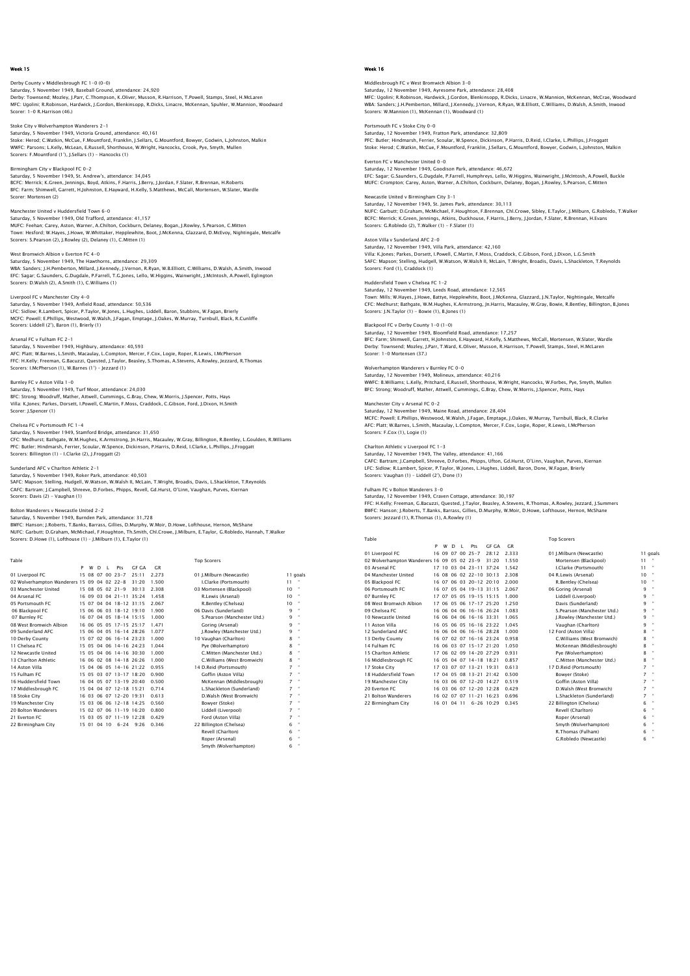## Derby County v Middlesbrough FC 1-0 (0-0) Saturday, 5 November 1949, Baseball Ground, attendance: 24,920<br>Derby: Townsend; Mozley, J.Parr, C.Thompson, K.Oliver, Musson, R.Harrison, T.Powell, Stamps, Steel, H.McLaren<br>MFC: Uqolini: R.Robinson, Hardwick, J.Gordon, Ble Scorer: 1-0 R.Harrison (46.)

Stoke City v Wolverhampton Wanderers 2-1 Saturday, 5 November 1949, Victoria Ground, attendance: 40,161 Stoke: Herod; C.Watkin, McCue, F.Mountford, Franklin, J.Sellars, G.Mountford, Bowyer, Godwin, L.Johnston, Malkin WWFC: Parsons; L.Kelly, McLean, E.Russell, Shorthouse, W.Wright, Hancocks, Crook, Pye, Smyth, Mullen Scorers: F.Mountford (1'), J.Sellars (1) – Hancocks (1)

Birmingham City v Blackpool FC 0-2<br>Saturday, 5 November 1949, St. Andrew's, attendance: 34,045<br>BCFC: Merrick; K.Green, Jennings, Boyd, Atkins, F.Harris, J.Berry, J.Jordan, F.Slater, R.Brennan, H.Roberts BFC: Farm; Shimwell, Garrett, H.Johnston, E.Hayward, H.Kelly, S.Matthews, McCall, Mortensen, W.Slater, Wardle Scorer: Mortensen (2)

## Manchester United v Huddersfield Town 6-0

Saturday, 5 November 1949, Old Trafford, attendance: 41,157 MUFC: Feehan; Carey, Aston, Warner, A.Chilton, Cockburn, Delaney, Bogan, J.Rowley, S.Pearson, C.Mitten Town: Hesford; W.Hayes, J.Howe, W.Whittaker, Hepplewhite, Boot, J.McKenna, Glazzard, D.McEvoy, Nightingale, Metcalfe Scorers: S.Pearson (2), J.Rowley (2), Delaney (1), C.Mitten (1)

West Bromwich Albion v Everton FC 4-0 Saturday, 5 November 1949, The Hawthorns, attendance: 29,309 WBA: Sanders; J.H.Pemberton, Millard, J.Kennedy, J.Vernon, R.Ryan, W.B.Elliott, C.Williams, D.Walsh, A.Smith, Inwood<br>EFC: Sagar; G.Saunders, G.Dugdale, P.Farrell, T.G.Jones, Lello, W.Higgins, Wainwright, J.McIntosh, A.Powe Scorers: D.Walsh (2), A.Smith (1), C.Williams (1)

Liverpool FC v Manchester City 4-0

Saturday, 5 November 1949, Anfield Road, attendance: 50,536 LFC: Sidlow; R.Lambert, Spicer, P.Taylor, W.Jones, L.Hughes, Liddell, Baron, Stubbins, W.Fagan, Brierly<br>MCFC: Powell; E.Phillips, Westwood, W.Walsh, J.Fagan, Emptage, J.Oakes, W.Murray, Turnbull, Black, R.Cunliffe<br>Scorers:

Arsenal FC v Fulham FC 2-1

Saturday, 5 November 1949, Highbury, attendance: 40,593 AFC: Platt; W.Barnes, L.Smith, Macaulay, L.Compton, Mercer, F.Cox, Logie, Roper, R.Lewis, I.McPherson<br>FFC: H.Kelly; Freeman, G.Bacuzzi, Quested, J.Taylor, Beasley, S.Thomas, A.Stevens, A.Rowley, Jezzard, R.Thomas<br>Scorers:

#### Burnley FC v Aston Villa 1-0

Saturday, 5 November 1949, Turf Moor, attendance: 24,030 BFC: Strong; Woodruff, Mather, Attwell, Cummings, G.Bray, Chew, W.Morris, J.Spencer, Potts, Hays Villa: K.Jones; Parkes, Dorsett, I.Powell, C.Martin, F.Moss, Craddock, C.Gibson, Ford, J.Dixon, H.Smith Scorer: J.Spencer (1)

## Chelsea FC v Portsmouth FC 1-4

Saturday, 5 November 1949, Stamford Bridge, attendance: 31,650<br>CFC: Medhurst, Bathgate, W.M.Hughes, K.Armstrong, Jn.Harris, Macauley, W.Gray, Billington, R.Bentley, L.Goulden, R.Williams<br>PFC: Butler: Hindmarsh, Ferrier, Sc Scorers: Billington (1) – I.Clarke (2), J.Froggatt (2)

## nderland AFC v Charlton Athletic 2-1

Saturday, 5 November 1949, Roker Park, attendance: 40,503<br>SAFC: Mapson; Stelling, Hudgell, W.Watson, W.Walsh II, McLain, T.Wright, Broadis, Davis, L.Shackleton, T.Reynolds<br>CAFC: Bartram: J.Campbell, Shreeve, D.Forbes, Phip Scorers: Davis (2) - Vaughan (1)

Table Top Scorers

## Bolton Wanderers v Newcastle United 2-2 Saturday, 5 November 1949, Burnden Park, attendance: 31,728

BWFC: Hanson; J.Roberts, T.Banks, Barrass, Gillies, D.Murphy, W.Moir, D.Howe, Lofthouse, Hernon, McShane NUFC: Garbutt; D.Graham, McMichael, F.Houghton, Th.Smith, Chl.Crowe, J.Milburn, E.Taylor, G.Robledo, Hannah, T.Walker Scorers: D.Howe (1), Lofthouse (1) – J.Milburn (1), E.Taylor (1)

|                                             | P | W | n | $\mathbf{I}$ | Pts                     | GE GA | GR    |                             |    |              |
|---------------------------------------------|---|---|---|--------------|-------------------------|-------|-------|-----------------------------|----|--------------|
| 01 Liverpool FC                             |   |   |   |              | 15 08 07 00 23-7        | 25:11 | 2.273 | 01 I.Milburn (Newcastle)    |    | 11 goals     |
| 02 Wolverhampton Wanderers 15 09 04 02 22-8 |   |   |   |              |                         | 31:20 | 1.500 | I.Clarke (Portsmouth)       | 11 |              |
| 03 Manchester United                        |   |   |   |              | 15 08 05 02 21-9        | 30:13 | 2.308 | 03 Mortensen (Blackpool)    | 10 |              |
| 04 Arsenal FC                               |   |   |   |              | 16 09 03 04 21-11 35:24 |       | 1.458 | R.Lewis (Arsenal)           | 10 |              |
| 05 Portsmouth EC                            |   |   |   |              | 15 07 04 04 18-12 31:15 |       | 2.067 | R.Bentley (Chelsea)         | 10 |              |
| 06 Blackpool FC                             |   |   |   |              | 15 06 06 03 18-12 19:10 |       | 1.900 | 06 Davis (Sunderland)       | ۹  | $\mathbf{H}$ |
| 07 Burnley FC                               |   |   |   |              | 16 07 04 05 18-14 15:15 |       | 1.000 | S.Pearson (Manchester Utd.) | ۹  | $\bullet$    |
| 08 West Bromwich Albion                     |   |   |   |              | 16 06 05 05 17-15 25:17 |       | 1.471 | Goring (Arsenal)            | ۹  | $\bullet$    |
| 09 Sunderland AFC                           |   |   |   |              | 15 06 04 05 16-14 28:26 |       | 1.077 | J.Rowley (Manchester Utd.)  | 9  | $\bullet$    |
| 10 Derby County                             |   |   |   |              | 15 07 02 06 16-14 23:23 |       | 1.000 | 10 Vaughan (Charlton)       | 8  | $\mathbf{H}$ |
| 11 Chelsea FC                               |   |   |   |              | 15 05 04 06 14-16 24:23 |       | 1.044 | Pye (Wolverhampton)         | 8  | $\mathbf{a}$ |
| 12 Newcastle United                         |   |   |   |              | 15 05 04 06 14-16 30:30 |       | 1.000 | C.Mitten (Manchester Utd.)  | 8  | $\mathbf{H}$ |
| 13 Charlton Athletic                        |   |   |   |              | 16 06 02 08 14-18 26:26 |       | 1.000 | C.Williams (West Bromwich)  | 8  | $\mathbf{a}$ |
| 14 Aston Villa                              |   |   |   |              | 15 04 06 05 14-16 21:22 |       | 0.955 | 14 D.Reid (Portsmouth)      | 7  | $\bullet$    |
| 15 Fulham FC                                |   |   |   |              | 15 05 03 07 13-17 18:20 |       | 0.900 | Goffin (Aston Villa)        | 7  | $\bullet$    |
| 16 Huddersfield Town                        |   |   |   |              | 16 04 05 07 13-19 20:40 |       | 0.500 | McKennan (Middlesbrough)    | 7  | $\bullet$    |
| 17 Middlesbrough FC                         |   |   |   |              | 15 04 04 07 12-18 15:21 |       | 0.714 | L.Shackleton (Sunderland)   | 7  | $\bullet$    |
| 18 Stoke City                               |   |   |   |              | 16 03 06 07 12-20 19:31 |       | 0.613 | D.Walsh (West Bromwich)     | 7  |              |
| 19 Manchester City                          |   |   |   |              | 15 03 06 06 12-18 14:25 |       | 0.560 | Bowyer (Stoke)              | 7  | $\bullet$    |
| 20 Bolton Wanderers                         |   |   |   |              | 15 02 07 06 11-19 16:20 |       | 0.800 | Liddell (Liverpool)         | 7  |              |
| 21 Everton FC                               |   |   |   |              | 15 03 05 07 11-19 12:28 |       | 0.429 | Ford (Aston Villa)          | 7  | $\bullet$    |
| 22 Birmingham City                          |   |   |   |              | 15 01 04 10 6-24 9:26   |       | 0.346 | 22 Billington (Chelsea)     | 6  |              |
|                                             |   |   |   |              |                         |       |       | Revell (Charlton)           | 6  | $\mathbf{H}$ |
|                                             |   |   |   |              |                         |       |       | Roper (Arsenal)             | 6  | $\mathbf{H}$ |
|                                             |   |   |   |              |                         |       |       | Smyth (Wolverhampton)       | 6  |              |

## Week 16

Middlesbrough FC v West Bromwich Albion 3-0 Saturday, 12 November 1949, Ayresome Park, attendance: 28,408<br>MFC: Ugolini; R.Robinson, Hardwick, J.Gordon, Blenkinsopp, R.Dicks, Linacre, W.Mannion, McKennan, McCrae, Woodwarc<br>WBA: Sanders: J.H.Pemberton, Millard, J.Kenne Scorers: W.Mannion (1), McKennan (1), Woodward (1)

Portsmouth FC v Stoke City 0-0<br>Saturday, 12 November 1949, Fratton Park, attendance: 32,809<br>PFC: Butler, Hindmarsh, Ferrier, Scoular, W.Spence, Dickinson, P.Harris, D.Reid, I.Clarke, L.Phillips, J.Froggatt<br>Stoke: Herod; C.

Everton FC v Manchester United 0-0 Saturday, 12 November 1949, Goodison Park, attendance: 46,672<br>EFC: Sagar; G.Saunders, G.Dugdale, P.Farrell, Humphreys, Lello, W.Higgins, Wainwright, J.McIntosh, A.Powell, Buckle<br>MUFC: Crompton; Carey, Aston, Warner, A.Chil

Newcastle United v Birmingham City 3-1 Saturday, 12 November 1949, St. James Park, attendance: 30,113<br>NUFC: Garbutt; D.Graham, McMichael, F.Houghton, F.Brennan, Chi.Crowe, Sibley, E.Taylor, J.Milburn, G.Robledo, T.Walker<br>BCFC: Merrick: K.Green, Jennings, Atkins Scorers: G.Robledo (2), T.Walker (1) - F.Slater (1)

Aston Villa v Sunderland AFC 2-0 Saturday, 12 November 1949, Villa Park, attendance: 42,160 Villa: K.Jones; Parkes, Dorsett, I.Powell, C.Martin, F.Moss, Craddock, C.Gibson, Ford, J.Dixon, L.G.Smith SAFC: Mapson; Stelling, Hudgell, W.Watson, W.Walsh II, McLain, T.Wright, Broadis, Davis, L.Shackleton, T.Reynolds Scorers: Ford (1), Craddock (1)

Huddersfield Town v Chelsea FC 1-2 Saturday, 12 November 1949, Leeds Road, attendance: 12,565

Town: Mills; W.Hayes, J.Howe, Battye, Hepplewhite, Boot, J.McKenna, Glazzard, J.N.Taylor, Nightingale, Metcalfe CFC: Medhurst; Bathgate, W.M.Hughes, K.Armstrong, Jn.Harris, Macauley, W.Gray, Bowie, R.Bentley, Billington, B.Jones Scorers: J.N.Taylor (1) - Bowie (1), B.Jones (1)

Blackpool FC v Derby County 1–0 (1–0)<br>Saturday, 12 November 1949, Bloomfield Road, attendance: 17,257<br>BFC: Farm; Shimwell, Garrett, H.Johnston, E.Hayward, H.Kelly, S.Matthews, McCall, Mortensen, W.Slater, Wardle Derby: Townsend; Mozley, J.Parr, T.Ward, K.Oliver, Musson, R.Harrison, T.Powell, Stamps, Steel, H.McLaren Scorer: 1-0 Mortensen (37.)

#### on Wanderers v Burnley FC 0-0

Saturday, 12 November 1949, Molineux, attendance: 40,216 WWFC: B.Williams; L.Kelly, Pritchard, E.Russell, Shorthouse, W.Wright, Hancocks, W.Forbes, Pye, Smyth, Mullen BFC: Strong; Woodruff, Mather, Attwell, Cummings, G.Bray, Chew, W.Morris, J.Spencer, Potts, Hays

Manchester City v Arsenal FC 0-2 Saturday, 12 November 1949, Maine Road, attendance: 28,404 MCFC: Powell; E.Phillips, Westwood, W.Walsh, J.Fagan, Emptage, J.Oakes, W.Murray, Turnbull, Black, R.Clarke AFC: Platt; W.Barnes, L.Smith, Macaulay, L.Compton, Mercer, F.Cox, Logie, Roper, R.Lewis, I.McPherson Scorers: F.Cox (1), Logie (1)

### Charlton Athletic v Liverpool FC 1-3

Saturday, 12 November 1949, The Valley, attendance: 41,166 CAFC: Bartram; J.Campbell, Shreeve, D.Forbes, Phipps, Ufton, Gd.Hurst, O'Linn, Vaughan, Purves, Kiernan LFC: Sidlow; R.Lambert, Spicer, P.Taylor, W.Jones, L.Hughes, Liddell, Baron, Done, W.Fagan, Brierly Scorers: Vaughan (1) – Liddell (2'), Done (1)

### Fulham FC v Bolton Wanderers 3-0

Saturday, 12 November 1949, Craven Cottage, attendance: 30,197 FFC: H.Kelly; Freeman, G.Bacuzzi, Quested, J.Taylor, Beasley, A.Stevens, R.Thomas, A.Rowley, Jezzard, J.Summer<br>BWFC: Hanson; J.Roberts, T.Banks, Barrass, Gillies, D.Murphy, W.Moir, D.Howe, Lofthouse, Hernon, McShane<br>Scorer

| Table                                       |   |       |              |              |                               |                |       | <b>Top Scorers</b>               |              |
|---------------------------------------------|---|-------|--------------|--------------|-------------------------------|----------------|-------|----------------------------------|--------------|
|                                             | P | w     | <sup>D</sup> | $\mathbf{L}$ | Pts                           | <b>GF GA</b>   | C.R   |                                  |              |
| 01 Liverpool FC                             |   |       |              |              | 16 09 07 00 25-7              | 28:12          | 2.333 | 01 I.Milburn (Newcastle)         | 11 goals     |
| 02 Wolverhampton Wanderers 16 09 05 02 23-9 |   |       |              |              |                               | 31:20          | 1.550 | Mortensen (Blackpool)<br>11      |              |
| 03 Arsenal FC                               |   | 17 10 | 03           |              | $04$ 23-11 37:24              |                | 1.542 | I.Clarke (Portsmouth)<br>11      | ×            |
| 04 Manchester United                        |   |       |              |              | 16 08 06 02 22-10 30:13       |                | 2.308 | 04 R.Lewis (Arsenal)<br>10       | $\mathbf{u}$ |
| 05 Blackpool FC                             |   | 16 07 |              |              | 06 03 20-12 20:10             |                | 2.000 | R.Bentley (Chelsea)<br>10        | ×            |
| 06 Portsmouth EC                            |   | 16 07 |              |              | 05 04 19-13 31:15             |                | 2.067 | 9<br>06 Goring (Arsenal)         | ٠            |
| 07 Burnley FC                               |   | 17 07 |              |              | 05 05 19-15 15:15             |                | 1.000 | 9<br>Liddell (Liverpool)         | ×            |
| 08 West Bromwich Albion                     |   |       |              |              | 17 06 05 06 17-17 25:20       |                | 1.250 | Davis (Sunderland)<br>9          | ×            |
| 09 Chelsea EC                               |   |       |              |              | 16 06 04 06 16-16 26:24       |                | 1.083 | q<br>S.Pearson (Manchester Utd.) | ×            |
| 10 Newcastle United                         |   |       |              |              | 16 06 04 06 16-16 33:31       |                | 1.065 | 9<br>J.Rowley (Manchester Utd.)  | ×            |
| 11 Aston Villa                              |   |       |              |              | 16 05 06 05 16-16 23:22       |                | 1.045 | 9<br>Vaughan (Charlton)          | ×            |
| 12 Sunderland AFC                           |   |       |              |              | 16 06 04 06 16-16 28:28       |                | 1.000 | g<br>12 Ford (Aston Villa)       | ×            |
| 13 Derby County                             |   |       |              |              | 16 07 02 07 16-16 23:24       |                | 0.958 | 8<br>C.Williams (West Bromwich)  |              |
| 14 Fulham FC                                |   |       |              |              | 16 06 03 07 15-17 21:20       |                | 1.050 | 8<br>McKennan (Middlesbrough)    | ٠            |
| 15 Charlton Athletic                        |   |       |              |              | 17 06 02 09 14-20 27:29       |                | 0.931 | 8<br>Pve (Wolverhampton)         | ٠            |
| 16 Middlesbrough FC                         |   |       |              |              | 16 05 04 07 14-18 18:21       |                | 0.857 | 8<br>C.Mitten (Manchester Utd.)  | ٠            |
| 17 Stoke City                               |   |       |              |              | 17 03 07 07 13-21 19:31       |                | 0.613 | 7<br>17 D.Reid (Portsmouth)      | ٠            |
| 18 Huddersfield Town                        |   | 17 04 |              |              | 05 08 13-21 21:42             |                | 0.500 | 7<br>Bowver (Stoke)              | ×            |
| 19 Manchester City                          |   | 16 03 |              |              | 06 07 12-20 14:27             |                | 0.519 | 7<br>Goffin (Aston Villa)        | ×            |
| 20 Everton EC                               |   | 16 03 |              |              | $06$ $07$ $12 - 20$ $12.28$   |                | 0.429 | 7<br>D.Walsh (West Bromwich)     | ×            |
| 21 Bolton Wanderers                         |   | 16 02 |              |              | $07$ $07$ $11 - 21$ $16$ $23$ |                | 0.696 | 7<br>L.Shackleton (Sunderland)   | ×            |
| 22 Birmingham City                          |   | 16 01 | 0411         |              |                               | $6 - 26$ 10.29 | 0.345 | 6<br>22 Billington (Chelsea)     |              |

| 01 I.Milburn (Newcastle)    |    | 11 qo |
|-----------------------------|----|-------|
| Mortensen (Blackpool)       | 11 | ×.    |
| I.Clarke (Portsmouth)       | 11 | u.    |
| 04 R.Lewis (Arsenal)        | 10 | u,    |
| R.Bentley (Chelsea)         | 10 | ×     |
| 06 Goring (Arsenal)         | q  | u.    |
| Liddell (Liverpool)         | 9  | ×     |
| Davis (Sunderland)          | ۹  | u,    |
| S.Pearson (Manchester Utd.) | q  | u.    |
| I.Rowley (Manchester Utd.)  | ۹  | ×     |
| Vaughan (Charlton)          | ۹  | u.    |
| 12 Ford (Aston Villa)       | g  | ×     |
| C.Williams (West Bromwich)  | g  | u.    |
| McKennan (Middlesbrough)    | 8  | u.    |
| Pve (Wolverhampton)         | g  | u.    |
| C.Mitten (Manchester Utd.)  | 8  | u,    |
| 17 D.Reid (Portsmouth)      | 7  | ×     |
| Bowver (Stoke)              | 7  | u,    |
| Goffin (Aston Villa)        | 7  | ×     |
| D.Walsh (West Bromwich)     | 7  | u.    |
| L.Shackleton (Sunderland)   | 7  | u,    |
| 22 Billington (Chelsea)     | 6  | u.    |
| Revell (Charlton)           | 6  | u.    |
| Roper (Arsenal)             | 6  | ×     |
| Smyth (Wolverhampton)       | ħ  | ×     |
| R.Thomas (Fulham)           | 6  | ×     |

G.Robledo (Newcastle)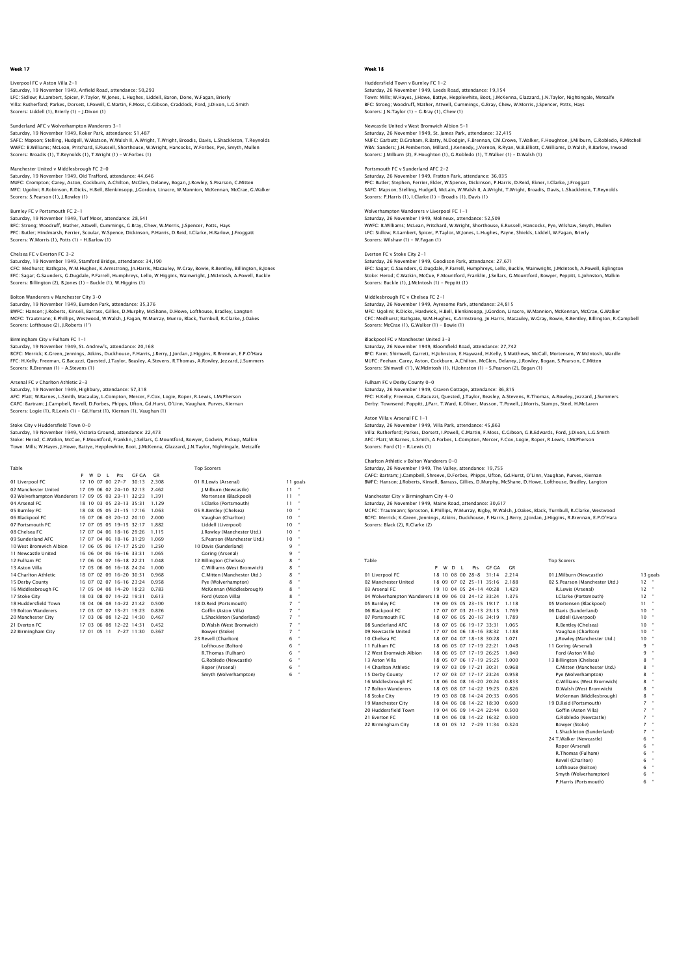#### Liverpool FC v Aston Villa 2-1

Saturday, 19 November 1949, Anfield Road, attendance: 50,293<br>LFC: Sidlow; R.Lambert, Spicer, P.Taylor, W.Jones, L.Hughes, Liddell, Baron, Done, W.Fagan, Brierly<br>Villa: Rutherford; Parkes, Dorsett, I.Powell, C.Martin, F.Mos Scorers: Liddell (1), Brierly (1) - J.Dixon (1)

## Sunderland AFC v Wolverhampton Wanderers 3-1

Saturday, 19 November 1949, Roker Park, attendance: 51,487 SAFC: Mapson; Stelling, Hudgell, W.Watson, W.Walsh II, A.Wright, T.Wright, Broadis, Davis, L.Shackleton, T.Reynolds WWFC: B.Williams; McLean, Pritchard, E.Russell, Shorthouse, W.Wright, Hancocks, W.Forbes, Pye, Smyth, Mullen Scorers: Broadis (1), T.Reynolds (1), T.Wright (1) – W.Forbes (1)

Manchester United v Middlesbrough FC 2-0<br>Saturday, 19 November 1949, Old Trafford, attendance: 44,646<br>MUFC: Crompton; Carey, Aston, Cockburn, A.Chilton, McGlen, Delaney, Bogan, J.Rowley, S.Pearson, C.Mitten MFC: Ugolini; R.Robinson, R.Dicks, H.Bell, Blenkinsopp, J.Gordon, Linacre, W.Mannion, McKennan, McCrae, G.Walker Scorers: S.Pearson (1), J.Rowley (1)

## Burnley FC v Portsmouth FC 2-1

Saturday, 19 November 1949, Turf Moor, attendance: 28,541 BFC: Strong; Woodruff, Mather, Attwell, Cummings, G.Bray, Chew, W.Morris, J.Spencer, Potts, Hays PFC: Butler; Hindmarsh, Ferrier, Scoular, W.Spence, Dickinson, P.Harris, D.Reid, I.Clarke, H.Barlow, J.Froggatt Scorers: W.Morris (1), Potts (1) – H.Barlow (1)

## Chelsea FC v Everton FC 3-2

Saturday, 19 November 1949, Stamford Bridge, attendance: 34,190 CFC: Medhurst; Bathgate, W.M.Hughes, K.Armstrong, Jn.Harris, Macauley, W.Gray, Bowie, R.Bentley, Billington, B.Jones<br>EFC: Sagar; G.Saunders, G.Dugdale, P.Farrell, Humphreys, Lello, W.Higgins, Wainwright, J.McIntosh, A.Powe

Bolton Wanderers v Manchester City 3-0<br>Saturdav, 19 November 1949, Burnden Park, attendance: 35.376 Saturday, 19 November 1949, Burnden Park, attendance: 35,376<br>BWFC: Hanson; J.Roberts, Kinsell, Barrass, Gillies, D.Murphy, McShane, D.Howe, Lofthouse, Bradley, Langton<br>MCFC: Trautmann; E.Phillips, Westwood, W.Walsh, J.Faga

Birmingham City v Fulham FC 1-1

## Saturday, 19 November 1949, St. Andrew's, attendance: 20,168

BCFC: Merrick; K.Green, Jennings, Atkins, Duckhouse, F.Harris, J.Berry, J.Jordan, J.Higgins, R.Brennan, E.P.O'Hara<br>FFC: H.Kelly; Freeman, G.Bacuzzi, Quested, J.Taylor, Beasley, A.Stevens, R.Thomas, A.Rowley, Jezzard, J.Sum Scorers: R.Brennan (1) – A.Stevens (1)

#### Arsenal FC v Charlton Athletic 2-3

Saturday, 19 November 1949, Highbury, attendance: 57,318 AFC: Platt; W.Barnes, L.Smith, Macaulay, L.Compton, Mercer, F.Cox, Logie, Roper, R.Lewis, I.McPherson CAFC: Bartram; J.Campbell, Revell, D.Forbes, Phipps, Ufton, Gd.Hurst, O'Linn, Vaughan, Purves, Kiernan Scorers: Logie (1), R.Lewis (1) – Gd.Hurst (1), Kiernan (1), Vaughan (1)

## Stoke City v Huddersfield Town 0-0

Saturday, 19 November 1949, Victoria Ground, attendance: 22,473<br>Stoke: Herod; C.Watkin, McCue, F. Mountford, Franklin, J.Sellars, G.Mountford, Bowyer, Godwin, Pickup, Malkin<br>Town: Mills; W.Hayes, J.Howe, Battye, Hepplewhit

| Table                                              |   |   |    |              |                         |       |       | <b>Top Scorers</b>          |                |                      |
|----------------------------------------------------|---|---|----|--------------|-------------------------|-------|-------|-----------------------------|----------------|----------------------|
|                                                    | P | w | D. | $\mathbf{I}$ | Pts                     | GE GA | C.R   |                             |                |                      |
| 01 Liverpool FC                                    |   |   |    |              | 17 10 07 00 27-7        | 30:13 | 2.308 | 01 R.I ewis (Arsenal)       |                | 11 goals             |
| 02 Manchester United                               |   |   |    |              | 17 09 06 02 24-10 32:13 |       | 2.462 | I.Milburn (Newcastle)       | 11             |                      |
| 03 Wolverhampton Wanderers 17 09 05 03 23-11 32:23 |   |   |    |              |                         |       | 1.391 | Mortensen (Blackpool)       | 11             |                      |
| 04 Arsenal FC                                      |   |   |    |              | 18 10 03 05 23-13 35:31 |       | 1.129 | I.Clarke (Portsmouth)       | 11             |                      |
| 05 Burnley FC                                      |   |   |    |              | 18 08 05 05 21-15 17:16 |       | 1.063 | 05 R.Bentley (Chelsea)      | 10             |                      |
| 06 Blackpool FC                                    |   |   |    |              | 16 07 06 03 20-12 20:10 |       | 2.000 | Vaughan (Charlton)          | 10             |                      |
| 07 Portsmouth FC                                   |   |   |    |              | 17 07 05 05 19-15 32:17 |       | 1.882 | Liddell (Liverpool)         | 10             |                      |
| 08 Chelsea EC                                      |   |   |    |              | 17 07 04 06 18-16 29:26 |       | 1.115 | J.Rowley (Manchester Utd.)  | 10             |                      |
| 09 Sunderland AEC                                  |   |   |    |              | 17 07 04 06 18-16 31:29 |       | 1.069 | S.Pearson (Manchester Utd.) | 10             |                      |
| 10 West Bromwich Albion                            |   |   |    |              | 17 06 05 06 17-17 25:20 |       | 1.250 | 10 Davis (Sunderland)       | 9              |                      |
| 11 Newcastle United                                |   |   |    |              | 16 06 04 06 16-16 33:31 |       | 1.065 | Goring (Arsenal)            | 9              |                      |
| 12 Fulham FC                                       |   |   |    |              | 17 06 04 07 16-18 22:21 |       | 1.048 | 12 Billington (Chelsea)     | 8              |                      |
| 13 Aston Villa                                     |   |   |    |              | 17 05 06 06 16-18 24:24 |       | 1.000 | C.Williams (West Bromwich)  | 8              |                      |
| 14 Charlton Athletic                               |   |   |    |              | 18 07 02 09 16-20 30:31 |       | 0.968 | C.Mitten (Manchester Utd.)  | 8              |                      |
| 15 Derby County                                    |   |   |    |              | 16 07 02 07 16-16 23:24 |       | 0.958 | Pye (Wolverhampton)         | 8              |                      |
| 16 Middlesbrough FC                                |   |   |    |              | 17 05 04 08 14-20 18:23 |       | 0.783 | McKennan (Middlesbrough)    | 8              |                      |
| 17 Stoke City                                      |   |   |    |              | 18 03 08 07 14-22 19:31 |       | 0.613 | Ford (Aston Villa)          | 8              |                      |
| 18 Huddersfield Town                               |   |   |    |              | 18 04 06 08 14-22 21:42 |       | 0.500 | 18 D.Reid (Portsmouth)      | $\overline{z}$ |                      |
| 19 Bolton Wanderers                                |   |   |    |              | 17 03 07 07 13-21 19:23 |       | 0.826 | Goffin (Aston Villa)        | $\overline{z}$ |                      |
| 20 Manchester City                                 |   |   |    |              | 17 03 06 08 12-22 14:30 |       | 0.467 | L.Shackleton (Sunderland)   | $\overline{7}$ | ×                    |
| 21 Everton FC                                      |   |   |    |              | 17 03 06 08 12-22 14:31 |       | 0.452 | D.Walsh (West Bromwich)     | $\overline{z}$ |                      |
| 22 Birmingham City                                 |   |   |    |              | 17 01 05 11 7-27 11:30  |       | 0.367 | Bowyer (Stoke)              | $\overline{7}$ | $\bullet$            |
|                                                    |   |   |    |              |                         |       |       | 23 Revell (Charlton)        | 6              |                      |
|                                                    |   |   |    |              |                         |       |       | Lofthouse (Bolton)          | 6              |                      |
|                                                    |   |   |    |              |                         |       |       | R.Thomas (Fulham)           | 6              | $\ddot{\phantom{a}}$ |
|                                                    |   |   |    |              |                         |       |       | G.Robledo (Newcastle)       | 6              |                      |
|                                                    |   |   |    |              |                         |       |       | Roper (Arsenal)             | 6              |                      |
|                                                    |   |   |    |              |                         |       |       | Smyth (Wolverhamnton)       | ĥ              |                      |

## Week 18

## Huddersfield Town v Burnley FC 1-2 Saturday, 26 November 1949, Leeds Road, attendance: 19,154<br>Town: Milis; W.Hayes, J.Howe, Battye, Hepplewhite, Boot, J.McKenna, Glazzard, J.N.Taylor, Nightingale, Metcalfe<br>BFC: Strong: Woodruff, Mather, Attwell, Cummings, G Scorers: J.N.Taylor (1) - G.Bray (1), Chew (1)

## Newcastle United v West Bromwich Albion 5-1

Saturday, 26 November 1949, St. James Park, attendance: 32,415 NUFC: Garbutt; D.Graham, R.Batty, N.Dodgin, F.Brennan, Chl.Crowe, T.Walker, F.Houghton, J.Milburn, G.Robledo, R.Mitchell WBA: Sanders; J.H.Pemberton, Millard, J.Kennedy, J.Vernon, R.Ryan, W.B.Elliott, C.Williams, D.Walsh, R.Barlow, Inwood Scorers: J.Milburn (2), F.Houghton (1), G.Robledo (1), T.Walker (1) – D.Walsh (1)

## Portsmouth FC v Sunderland AFC 2-2

Saturday, 26 November 1949, Fratton Park, attendance: 36,035 PFC: Butler; Stephen, Ferrier, Elder, W.Spence, Dickinson, P.Harris, D.Reid, Ekner, I.Clarke, J.Froggatt SAFC: Mapson; Stelling, Hudgell, McLain, W.Walsh II, A.Wright, T.Wright, Broadis, Davis, L.Shackleton, T.Reynolds Scorers: P.Harris (1), I.Clarke (1) – Broadis (1), Davis (1)

## Wolverhampton Wanderers v Liverpool FC 1-1

Saturday, 26 November 1949, Molineux, attendance: 52,509<br>WWFC: B.Williams; McLean, Pritchard, W.Wright, Shorthouse, E.Russell, Hancocks, Pye, Wilshaw, Smyth, Mullen<br>LFC: Sidlow; R.Lambert, Spicer, P.Taylor, W.Jones, L.Huqh Scorers: Wilshaw (1) - W.Fagan (1)

## Everton FC v Stoke City 2-1

Saturday, 26 November 1949, Goodison Park, attendance: 27,671 EFC: Sagar; G.Saunders, G.Dugdale, P.Farrell, Humphreys, Lello, Buckle, Wainwright, J.McIntosh, A.Powell, Eglington<br>Stoke: Herod; C.Watkin, McCue, F.Mountford, Franklin, J.Sellars, G.Mountford, Bowyer, Peppitt, L.Johnston, Scorers: Buckle (1), J.McIntosh (1) – Peppitt (1)

### Middlesbrough FC v Chelsea FC 2-1

Saturday, 26 November 1949, Ayresome Park, attendance: 24,815 MFC: Ugolini; R.Dicks, Hardwick, H.Bell, Blenkinsopp, J.Gordon, Linacre, W.Mannion, McKennan, McCrae, G.Walker<br>CFC: Medhurst; Bathgate, W.M.Hughes, K.Armstrong, Jn.Harris, Macauley, W.Gray, Bowie, R.Bentley, Billington, R.

#### Blackpool FC v Manchester United 3-3

Saturday, 26 November 1949, Bloomfield Road, attendance: 27,742<br>BFC: Farm; Shimwell, Carrett, H.Johnston, E.Hayward, H.Kelly, S.Matthews, McCall, Mortensen, W.McIntosh, Wardle<br>MUFC: Feehan; Carey, Aston, Cockburn, A.Chilto

Fulham FC v Derby County 0-0<br>Saturday, 26 November 1949, Craven Cottage, attendance: 36, 815 Saturday, 26 November 1949, Craven Cottage, attendance: 36,815<br>FFC: H.Kelly; Freeman, G.Bacuzzi, Quested, J.Taylor, Beasley, A.Stevens, R.Thomas, A.Rowley, Jezzard, J.Summers<br>Derby: Townsend: Poppitt, J.Parr, T.Ward, K.Oli

### Aston Villa v Arsenal FC 1-1

Saturday, 26 November 1949, Villa Park, attendance: 45,863 Villa: Rutherford; Parkes, Dorsett, I.Powell, C.Martin, F.Moss, C.Gibson, G.R.Edwards, Ford, J.Dixon, L.G.Smith<br>AFC: Platt; W.Barnes, L.Smith, A.Forbes, L.Compton, Mercer, F.Cox, Logie, Roper, R.Lewis, I.McPherson<br>Scorers:

## Charlton Athletic v Bolton Wanderers 0-0

Saturday, 26 November 1949, The Valley, attendance: 19,755<br>CAFC: Bartram: J.Campbell, Shreeve, D.Forbes, Phipps, Ufton, Gd.Hurst, O'Linn, Vaughan, Purves, Kiernan<br>BWFC: Hanson: J.Roberts, Kinsell, Barrass, Gillies, D.Murph

## Manchester City v Birmingham City 4-0

Saturday, 26 November 1949, Maine Road, attendance: 30,617<br>MCFC: Trautmann; Sproston, E.Phillips, W.Murray, Rigby, W.Walsh, J.Oakes, Black, Turnbull, R.Clarke, Westwood<br>BCFC: Merrick; K.Gren, Jennings, Atkins, Duckhouse, F

| Table                                              |   |   |             |    |                         |              |       | <b>Top Scorers</b>             |        |              |
|----------------------------------------------------|---|---|-------------|----|-------------------------|--------------|-------|--------------------------------|--------|--------------|
|                                                    | P | w | D           | L. | Pts                     | GE GA        | C.R   |                                |        |              |
| 01 Liverpool FC                                    |   |   |             |    | 18 10 08 00 28-8        | 31:14        | 2.214 | 01 I.Milburn (Newcastle)       | 13 go. |              |
| 02 Manchester United                               |   |   |             |    | 18 09 07 02 25-11 35:16 |              | 2.188 | 02 S.Pearson (Manchester Utd.) | 12     | ٠            |
| 03 Arsenal FC                                      |   |   |             |    | 19 10 04 05 24-14 40:28 |              | 1.429 | R.Lewis (Arsenal)              | 12     | ×            |
| 04 Wolverhampton Wanderers 18 09 06 03 24-12 33:24 |   |   |             |    |                         |              | 1.375 | I.Clarke (Portsmouth)          | 12     | ×            |
| 05 Burnley FC                                      |   |   |             |    | 19 09 05 05 23-15 19:17 |              | 1.118 | 05 Mortensen (Blackpool)       | 11     | $\mathbf{u}$ |
| 06 Blackpool FC                                    |   |   |             |    | 17 07 07 03 21-13 23:13 |              | 1.769 | 06 Davis (Sunderland)          | 10     | ×            |
| 07 Portsmouth FC                                   |   |   |             |    | 18 07 06 05 20-16 34:19 |              | 1.789 | Liddell (Liverpool)            | 10     | ×            |
| 08 Sunderland AFC                                  |   |   |             |    | 18 07 05 06 19-17 33:31 |              | 1.065 | R.Bentley (Chelsea)            | 10     | $\mathbf{u}$ |
| 09 Newcastle United                                |   |   |             |    | 17 07 04 06 18-16 38:32 |              | 1.188 | Vaughan (Charlton)             | 10     | ×            |
| 10 Chelsea EC                                      |   |   |             |    | 18 07 04 07 18-18 30:28 |              | 1.071 | I.Rowlev (Manchester Utd.)     | 10     | $\mathbf{u}$ |
| 11 Fulham FC                                       |   |   |             |    | 18 06 05 07 17-19 22:21 |              | 1.048 | 11 Goring (Arsenal)            | 9      | $\mathbf{u}$ |
| 12 West Bromwich Albion                            |   |   |             |    | 18 06 05 07 17-19 26:25 |              | 1.040 | Ford (Aston Villa)             | 9      | $\mathbf{u}$ |
| 13 Aston Villa                                     |   |   |             |    | 18 05 07 06 17-19 25:25 |              | 1.000 | 13 Billington (Chelsea)        | 8      | ×            |
| 14 Charlton Athletic                               |   |   |             |    | 19 07 03 09 17-21 30:31 |              | 0.968 | C.Mitten (Manchester Utd.)     | 8      | $\mathbf{u}$ |
| 15 Derby County                                    |   |   |             |    | 17 07 03 07 17-17 23:24 |              | 0.958 | Pve (Wolverhampton)            | 8      | $\mathbf{a}$ |
| 16 Middlesbrough FC                                |   |   |             |    | 18 06 04 08 16-20 20:24 |              | 0.833 | C.Williams (West Bromwich)     | 8      | $\mathbf{u}$ |
| 17 Bolton Wanderers                                |   |   |             |    | 18 03 08 07 14-22 19:23 |              | 0.826 | D.Walsh (West Bromwich)        | 8      | $\mathbf{a}$ |
| 18 Stoke City                                      |   |   |             |    | 19 03 08 08 14-24 20:33 |              | 0.606 | McKennan (Middlesbrough)       | 8      | $\mathbf{a}$ |
| 19 Manchester City                                 |   |   |             |    | 18 04 06 08 14-22 18:30 |              | 0.600 | 19 D.Reid (Portsmouth)         | 7      | $\mathbf{a}$ |
| 20 Huddersfield Town                               |   |   |             |    | 19 04 06 09 14-24 22:44 |              | 0.500 | Goffin (Aston Villa)           | 7      | $\mathbf{u}$ |
| 21 Everton EC                                      |   |   |             |    | 18 04 06 08 14-22 16:32 |              | 0.500 | G.Robledo (Newcastle)          | 7      | $\mathbf{u}$ |
| 22 Birmingham City                                 |   |   | 18 01 05 12 |    |                         | $7-29$ 11:34 | 0.324 | Bowver (Stoke)                 | 7      | $\mathbf{u}$ |
|                                                    |   |   |             |    |                         |              |       | L.Shackleton (Sunderland)      | 7      | $\mathbf{u}$ |

2.3 Hackleton (Sunder)<br>T.Walker (Newcastle) Roper (Arsenal)

# 01 J.Milburn (Newcastle) 13 goal<br>
02 S.Pearson (Manchester Utd.) 12 "<br>
R.Lewis (Arsenal) 12 "<br>
1.Clarke (Portsmouth) 12 " 04 I.Clarke (Portsmouth) 12<br>Mortensen (Blackpool) 11 05 Mortensen (Blackpool) 11<br>06 Davis (Sunderland) 10 06 Davis (Sunderland) 10<br>10 10 17 1.1899 1.1899 1.1899 1.1899 1.1899 1.1899 1.1899 1.1899 1.1899 1.1899 1.1899 1.1899 1.1899 1.1899 1.1899 1.1899 1.1899 1.1899 1.1899 1.1899 1.1899 1.1899 1.1899 1.1899 1.1899 1.1899 1.1899 Vaughan (Charlton) 10<br>10 J.Rowley (Manchester Utd.) 10 10 Chelsea FC 18 07 18 07 18 07 18:28 1.071 1.071 1.071 1.071 1.071 1.071 1.072<br>
10 Goring (Arsenal) 1.071 1.071 1.071 1.071 1.071 1.071 1.071 1.071 1.071 1.071 1.071 1.071 1.071 1.071 1.071 15 Pye (Wolverhampton) 8<br>15 C.Williams (West Bromwich) 8 21 Everton FC 18 06 14-22 16:42 R.Thomas (Fulham) 6<br>Revell (Charlton) 6 Revell (Charlton) 6 " Lofthouse (Bolton) 6 " Smyth (Wolverhampton) 6 " P.Harris (Portsmouth) 6 "